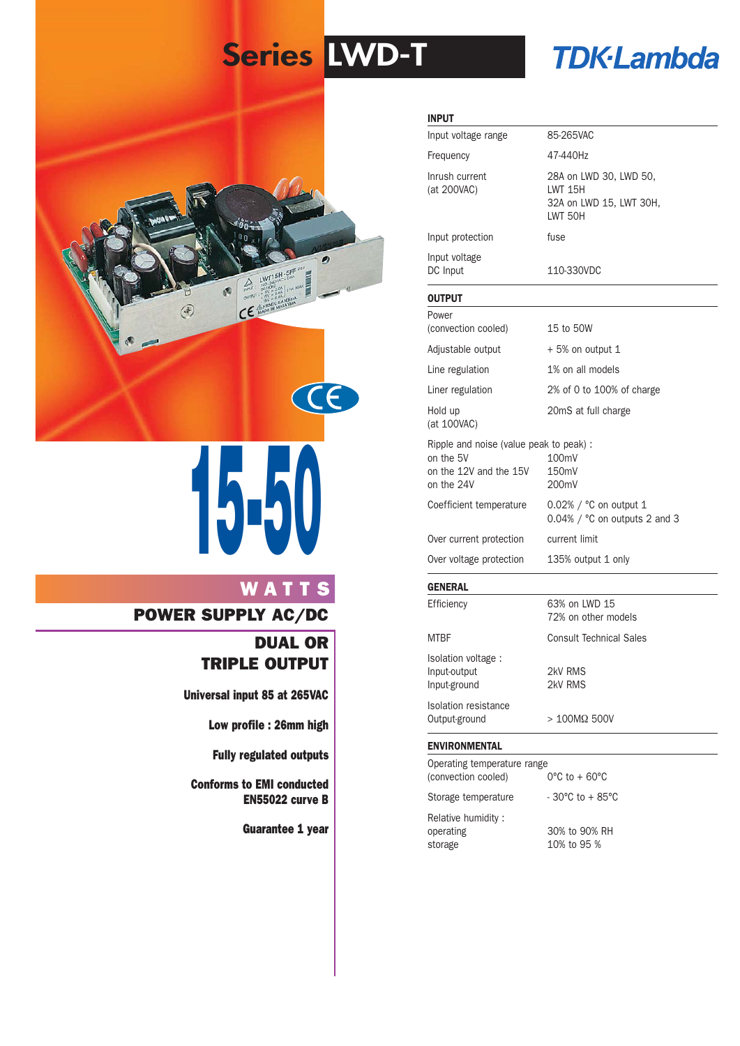# **Series LWD-T**

# **TDK-Lambda**



# **15-50**

# **WATTS**

### **POWER SUPPLY AC/DC**

# **DUAL OR TRIPLE OUTPUT**

**Universal input 85 at 265VAC**

**Low profile : 26mm high**

**Fully regulated outputs**

**Conforms to EMI conducted EN55022 curve B**

**Guarantee 1 year**

#### **INPUT**

| Input voltage<br>DC Input     | 110-330VDC                                                                      |
|-------------------------------|---------------------------------------------------------------------------------|
| Input protection              | fuse                                                                            |
| Inrush current<br>(at 200VAC) | 28A on LWD 30, LWD 50,<br>I WT 15H<br>32A on LWD 15, LWT 30H,<br><b>IWT 50H</b> |
| Frequency                     | 47-440Hz                                                                        |
| Input voltage range           | 85-265VAC                                                                       |

#### **OUTPUT**

| Over voltage protection                                                                     | 135% output 1 only                                                        |
|---------------------------------------------------------------------------------------------|---------------------------------------------------------------------------|
| Over current protection                                                                     | current limit                                                             |
| Coefficient temperature                                                                     | $0.02\%$ / $^{\circ}$ C on output 1<br>$0.04\%$ / $°C$ on outputs 2 and 3 |
| Ripple and noise (value peak to peak):<br>on the 5V<br>on the 12V and the 15V<br>on the 24V | 100mV<br>150mV<br>200mV                                                   |
| Hold up<br>(at 100VAC)                                                                      | 20mS at full charge                                                       |
| Liner regulation                                                                            | 2% of 0 to 100% of charge                                                 |
| Line regulation                                                                             | 1% on all models                                                          |
| Adjustable output                                                                           | $+5\%$ on output 1                                                        |
| Power<br>(convection cooled)                                                                | 15 to 50W                                                                 |

#### **GENERAL**

| Efficiency                                         | 63% on LWD 15<br>72% on other models |  |
|----------------------------------------------------|--------------------------------------|--|
| <b>MTBF</b>                                        | <b>Consult Technical Sales</b>       |  |
| Isolation voltage:<br>Input-output<br>Input-ground | 2kV RMS<br>2kV RMS                   |  |
| Isolation resistance<br>Output-ground              | $>100M\Omega$ 500V                   |  |

#### **ENVIRONMENTAL**

| Operating temperature range<br>(convection cooled) | $0^{\circ}$ C to + 60 $^{\circ}$ C |
|----------------------------------------------------|------------------------------------|
| Storage temperature                                | $-30^{\circ}$ C to $+85^{\circ}$ C |
| Relative humidity:<br>operating<br>storage         | 30% to 90% RH<br>10% to 95 %       |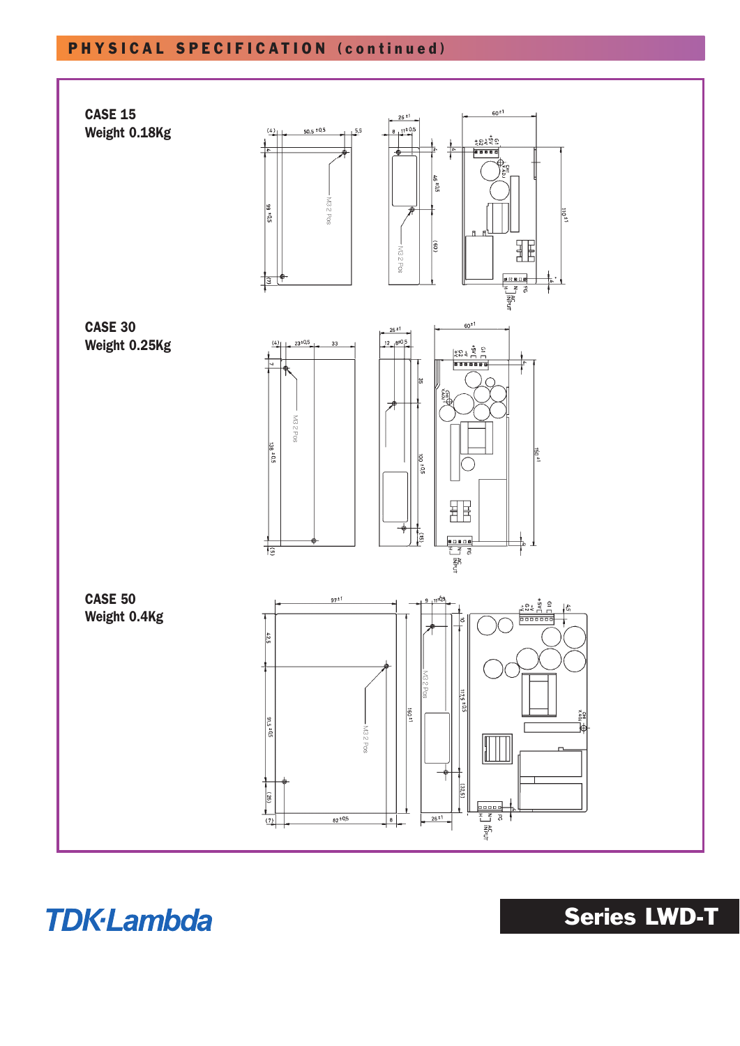# **PHYSICAL SPECIFICATION (continued)**



**TDK-Lambda** 

**Series LWD-T**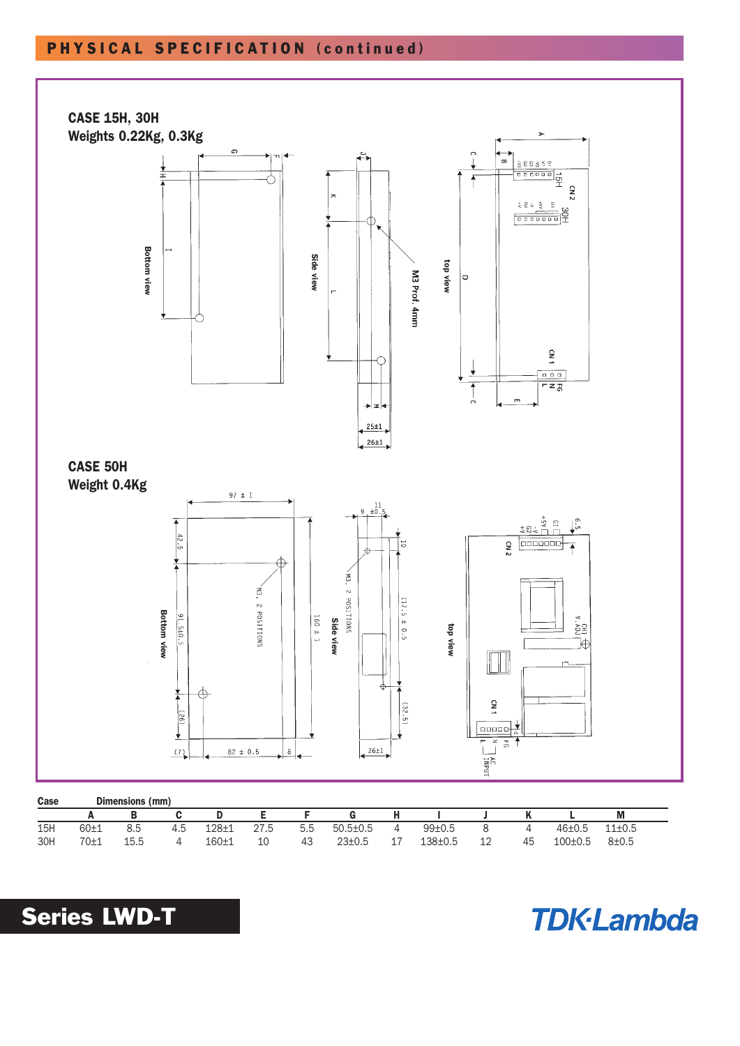## **PHYSICAL SPECIFICATION (continued )**



| ------ |          | -------------- | -------- |           |      |     |                  |         |               |              |    |         |            |  |
|--------|----------|----------------|----------|-----------|------|-----|------------------|---------|---------------|--------------|----|---------|------------|--|
|        |          | В              |          |           |      |     |                  |         |               |              |    |         | M          |  |
| 15H    | $60 + 1$ | 8.5            | 4.5      | $128 + 1$ | 27.5 | 5.5 | $50.5 \pm 0.5$ 4 |         | 99±0.5        | $\mathsf{R}$ | 4  | 46±0.5  | $11\pm0.5$ |  |
| 30H    | 70±1     | 15.5           |          | 160±1     | 10   | 43  | $23 \pm 0.5$     | <b></b> | $138 \pm 0.5$ | 12           | 45 | 100±0.5 | $8 + 0.5$  |  |



**TDK-Lambda**